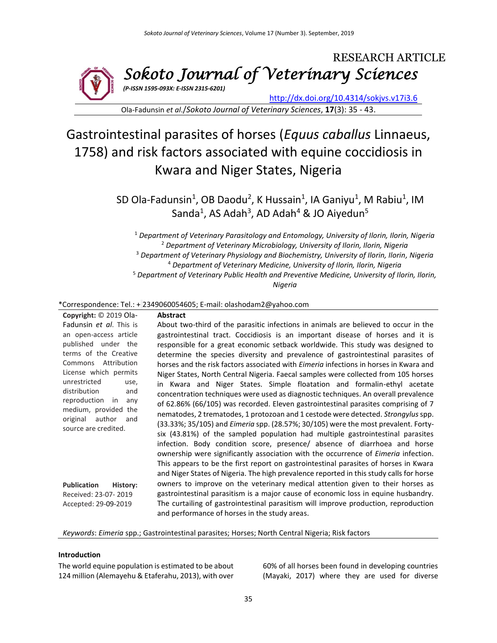

Ola-Fadunsin *et al*./*Sokoto Journal of Veterinary Sciences*, **17**(3): 35 - 43.

# Gastrointestinal parasites of horses (*Equus caballus* Linnaeus, 1758) and risk factors associated with equine coccidiosis in Kwara and Niger States, Nigeria

SD Ola-Fadunsin<sup>1</sup>, OB Daodu<sup>2</sup>, K Hussain<sup>1</sup>, IA Ganiyu<sup>1</sup>, M Rabiu<sup>1</sup>, IM Sanda<sup>1</sup>, AS Adah<sup>3</sup>, AD Adah<sup>4</sup> & JO Aiyedun<sup>5</sup>

 *Department of Veterinary Parasitology and Entomology, University of Ilorin, Ilorin, Nigeria Department of Veterinary Microbiology, University of Ilorin, Ilorin, Nigeria Department of Veterinary Physiology and Biochemistry, University of Ilorin, Ilorin, Nigeria Department of Veterinary Medicine, University of Ilorin, Ilorin, Nigeria Department of Veterinary Public Health and Preventive Medicine, University of Ilorin, Ilorin, Nigeria*

#### \*Correspondence: Tel.: + 2349060054605; E-mail: olashodam2@yahoo.com

**Copyright:** © 2019 Ola-Fadunsin *et al*. This is an open-access article published under the terms of the Creative Commons Attribution License which permits unrestricted use, distribution and reproduction in any medium, provided the original author and source are credited. **Publication History:**  Received: 23-07- 2019 Accepted: 29-09-2019 **Abstract** About two-third of the parasitic infections in animals are believed to occur in the gastrointestinal tract. Coccidiosis is an important disease of horses and it is responsible for a great economic setback worldwide. This study was designed to determine the species diversity and prevalence of gastrointestinal parasites of horses and the risk factors associated with *Eimeria* infections in horses in Kwara and Niger States, North Central Nigeria. Faecal samples were collected from 105 horses in Kwara and Niger States. Simple floatation and formalin-ethyl acetate concentration techniques were used as diagnostic techniques. An overall prevalence of 62.86% (66/105) was recorded. Eleven gastrointestinal parasites comprising of 7 nematodes, 2 trematodes, 1 protozoan and 1 cestode were detected. *Strongylus*spp. (33.33%; 35/105) and *Eimeria* spp. (28.57%; 30/105) were the most prevalent. Fortysix (43.81%) of the sampled population had multiple gastrointestinal parasites infection. Body condition score, presence/ absence of diarrhoea and horse ownership were significantly association with the occurrence of *Eimeria* infection. This appears to be the first report on gastrointestinal parasites of horses in Kwara and Niger States of Nigeria. The high prevalence reported in this study calls for horse owners to improve on the veterinary medical attention given to their horses as gastrointestinal parasitism is a major cause of economic loss in equine husbandry. The curtailing of gastrointestinal parasitism will improve production, reproduction and performance of horses in the study areas.

#### *Keywords*: *Eimeria* spp.; Gastrointestinal parasites; Horses; North Central Nigeria; Risk factors

#### **Introduction**

The world equine population is estimated to be about 124 million (Alemayehu & Etaferahu, 2013), with over 60% of all horses been found in developing countries (Mayaki, 2017) where they are used for diverse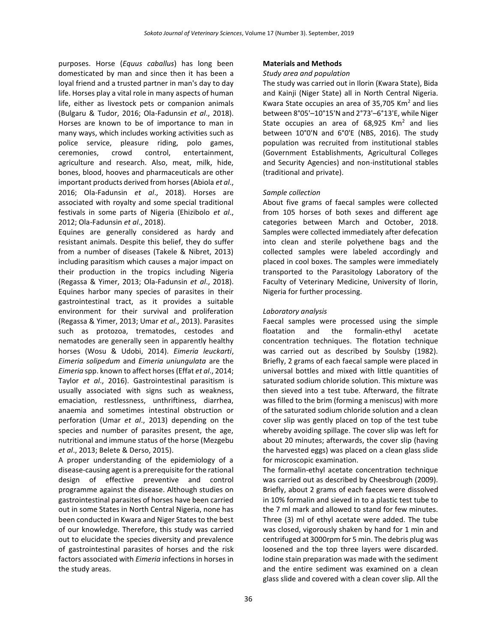purposes. Horse (*Equus caballus*) has long been domesticated by man and since then it has been a loyal friend and a trusted partner in man's day to day life. Horses play a vital role in many aspects of human life, either as livestock pets or companion animals (Bulgaru & Tudor, 2016; Ola-Fadunsin *et al*., 2018). Horses are known to be of importance to man in many ways, which includes working activities such as police service, pleasure riding, polo games, ceremonies, crowd control, entertainment, agriculture and research. Also, meat, milk, hide, bones, blood, hooves and pharmaceuticals are other important products derived from horses (Abiola *et al*., 2016; Ola-Fadunsin *et al*., 2018). Horses are associated with royalty and some special traditional festivals in some parts of Nigeria (Ehizibolo *et al*., 2012; Ola-Fadunsin *et al*., 2018).

Equines are generally considered as hardy and resistant animals. Despite this belief, they do suffer from a number of diseases (Takele & Nibret, 2013) including parasitism which causes a major impact on their production in the tropics including Nigeria (Regassa & Yimer, 2013; Ola-Fadunsin *et al*., 2018). Equines harbor many species of parasites in their gastrointestinal tract, as it provides a suitable environment for their survival and proliferation (Regassa & Yimer, 2013; Umar *et al*., 2013). Parasites such as protozoa, trematodes, cestodes and nematodes are generally seen in apparently healthy horses (Wosu & Udobi, 2014). *Eimeria leuckarti*, *Eimeria solipedum* and *Eimeria uniungulata* are the *Eimeria* spp. known to affect horses (Effat *et al*., 2014; Taylor *et al*., 2016). Gastrointestinal parasitism is usually associated with signs such as weakness, emaciation, restlessness, unthriftiness, diarrhea, anaemia and sometimes intestinal obstruction or perforation (Umar *et al*., 2013) depending on the species and number of parasites present, the age, nutritional and immune status of the horse (Mezgebu *et al*., 2013; Belete & Derso, 2015).

A proper understanding of the epidemiology of a disease-causing agent is a prerequisite for the rational design of effective preventive and control programme against the disease. Although studies on gastrointestinal parasites of horses have been carried out in some States in North Central Nigeria, none has been conducted in Kwara and Niger States to the best of our knowledge. Therefore, this study was carried out to elucidate the species diversity and prevalence of gastrointestinal parasites of horses and the risk factors associated with *Eimeria* infections in horses in the study areas.

### **Materials and Methods**

#### *Study area and population*

The study was carried out in Ilorin (Kwara State), Bida and Kainji (Niger State) all in North Central Nigeria. Kwara State occupies an area of 35,705 Km<sup>2</sup> and lies between 8°05'–10°15'N and 2°73'–6°13'E, while Niger State occupies an area of  $68,925$  Km<sup>2</sup> and lies between 10°0'N and 6°0'E (NBS, 2016). The study population was recruited from institutional stables (Government Establishments, Agricultural Colleges and Security Agencies) and non-institutional stables (traditional and private).

#### *Sample collection*

About five grams of faecal samples were collected from 105 horses of both sexes and different age categories between March and October, 2018. Samples were collected immediately after defecation into clean and sterile polyethene bags and the collected samples were labeled accordingly and placed in cool boxes. The samples were immediately transported to the Parasitology Laboratory of the Faculty of Veterinary Medicine, University of Ilorin, Nigeria for further processing.

### *Laboratory analysis*

Faecal samples were processed using the simple floatation and the formalin-ethyl acetate concentration techniques. The flotation technique was carried out as described by Soulsby (1982). Briefly, 2 grams of each faecal sample were placed in universal bottles and mixed with little quantities of saturated sodium chloride solution. This mixture was then sieved into a test tube. Afterward, the filtrate was filled to the brim (forming a meniscus) with more of the saturated sodium chloride solution and a clean cover slip was gently placed on top of the test tube whereby avoiding spillage. The cover slip was left for about 20 minutes; afterwards, the cover slip (having the harvested eggs) was placed on a clean glass slide for microscopic examination.

The formalin-ethyl acetate concentration technique was carried out as described by Cheesbrough (2009). Briefly, about 2 grams of each faeces were dissolved in 10% formalin and sieved in to a plastic test tube to the 7 ml mark and allowed to stand for few minutes. Three (3) ml of ethyl acetate were added. The tube was closed, vigorously shaken by hand for 1 min and centrifuged at 3000rpm for 5 min. The debris plug was loosened and the top three layers were discarded. Iodine stain preparation was made with the sediment and the entire sediment was examined on a clean glass slide and covered with a clean cover slip. All the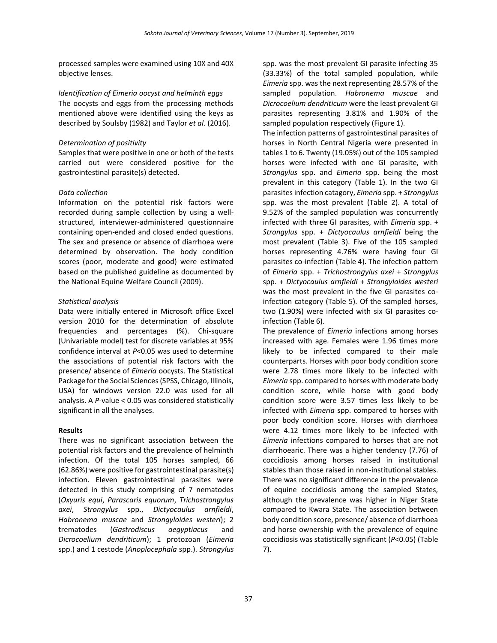processed samples were examined using 10X and 40X objective lenses.

*Identification of Eimeria oocyst and helminth eggs* The oocysts and eggs from the processing methods mentioned above were identified using the keys as described by Soulsby (1982) and Taylor *et al*. (2016).

#### *Determination of positivity*

Samples that were positive in one or both of the tests carried out were considered positive for the gastrointestinal parasite(s) detected.

## *Data collection*

Information on the potential risk factors were recorded during sample collection by using a wellstructured, interviewer-administered questionnaire containing open-ended and closed ended questions. The sex and presence or absence of diarrhoea were determined by observation. The body condition scores (poor, moderate and good) were estimated based on the published guideline as documented by the National Equine Welfare Council (2009).

## *Statistical analysis*

Data were initially entered in Microsoft office Excel version 2010 for the determination of absolute frequencies and percentages (%). Chi-square (Univariable model) test for discrete variables at 95% confidence interval at *P*<0.05 was used to determine the associations of potential risk factors with the presence/ absence of *Eimeria* oocysts. The Statistical Package for the Social Sciences (SPSS, Chicago, Illinois, USA) for windows version 22.0 was used for all analysis. A *P*-value < 0.05 was considered statistically significant in all the analyses.

## **Results**

There was no significant association between the potential risk factors and the prevalence of helminth infection. Of the total 105 horses sampled, 66 (62.86%) were positive for gastrointestinal parasite(s) infection. Eleven gastrointestinal parasites were detected in this study comprising of 7 nematodes (*Oxyuris equi*, *Parascaris equorum*, *Trichostrongylus axei*, *Strongylus* spp., *Dictyocaulus arnfieldi*, *Habronema muscae* and *Strongyloides westeri*); 2 trematodes (*Gastrodiscus aegyptiacus* and *Dicrocoelium dendriticum*); 1 protozoan (*Eimeria* spp.) and 1 cestode (*Anoplocephala* spp.). *Strongylus*

spp. was the most prevalent GI parasite infecting 35 (33.33%) of the total sampled population, while *Eimeria* spp. was the next representing 28.57% of the sampled population. *Habronema muscae* and *Dicrocoelium dendriticum* were the least prevalent GI parasites representing 3.81% and 1.90% of the sampled population respectively (Figure 1).

The infection patterns of gastrointestinal parasites of horses in North Central Nigeria were presented in tables 1 to 6. Twenty (19.05%) out of the 105 sampled horses were infected with one GI parasite, with *Strongylus* spp. and *Eimeria* spp. being the most prevalent in this category (Table 1). In the two GI parasites infection catagory, *Eimeria* spp. + *Strongylus*  spp. was the most prevalent (Table 2). A total of 9.52% of the sampled population was concurrently infected with three GI parasites, with *Eimeria* spp. + *Strongylus* spp. + *Dictyocaulus arnfieldi* being the most prevalent (Table 3). Five of the 105 sampled horses representing 4.76% were having four GI parasites co-infection (Table 4). The infection pattern of *Eimeria* spp. + *Trichostrongylus axei* + *Strongylus*  spp. + *Dictyocaulus arnfieldi* + *Strongyloides westeri* was the most prevalent in the five GI parasites coinfection category (Table 5). Of the sampled horses, two (1.90%) were infected with six GI parasites coinfection (Table 6).

The prevalence of *Eimeria* infections among horses increased with age. Females were 1.96 times more likely to be infected compared to their male counterparts. Horses with poor body condition score were 2.78 times more likely to be infected with *Eimeria* spp. compared to horses with moderate body condition score, while horse with good body condition score were 3.57 times less likely to be infected with *Eimeria* spp. compared to horses with poor body condition score. Horses with diarrhoea were 4.12 times more likely to be infected with *Eimeria* infections compared to horses that are not diarrhoearic. There was a higher tendency (7.76) of coccidiosis among horses raised in institutional stables than those raised in non-institutional stables. There was no significant difference in the prevalence of equine coccidiosis among the sampled States, although the prevalence was higher in Niger State compared to Kwara State. The association between body condition score, presence/ absence of diarrhoea and horse ownership with the prevalence of equine coccidiosis was statistically significant (*P*<0.05) (Table 7).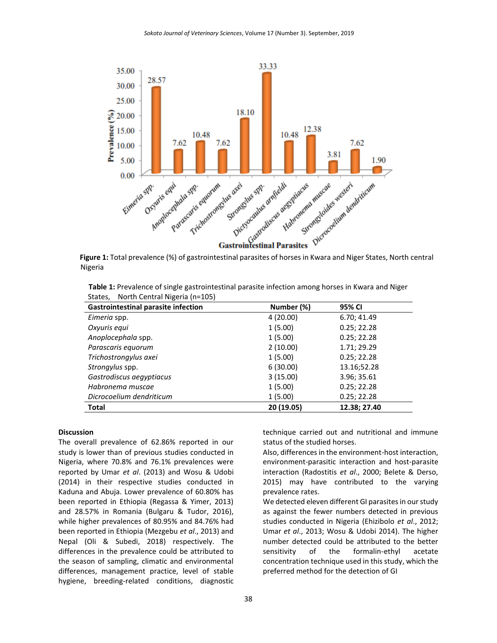

**Figure 1:** Total prevalence (%) of gastrointestinal parasites of horses in Kwara and Niger States, North central Nigeria

**Table 1:** Prevalence of single gastrointestinal parasite infection among horses in Kwara and Niger States, North Central Nigeria (n=105)

| <b>Gastrointestinal parasite infection</b> | Number (%) | 95% CI       |
|--------------------------------------------|------------|--------------|
| Eimeria spp.                               | 4(20.00)   | 6.70; 41.49  |
| Oxyuris equi                               | 1(5.00)    | 0.25; 22.28  |
| Anoplocephala spp.                         | 1(5.00)    | 0.25; 22.28  |
| Parascaris equorum                         | 2(10.00)   | 1.71; 29.29  |
| Trichostrongylus axei                      | 1(5.00)    | 0.25; 22.28  |
| Strongylus spp.                            | 6(30.00)   | 13.16;52.28  |
| Gastrodiscus aegyptiacus                   | 3(15.00)   | 3.96; 35.61  |
| Habronema muscae                           | 1(5.00)    | 0.25; 22.28  |
| Dicrocoelium dendriticum                   | 1(5.00)    | 0.25; 22.28  |
| <b>Total</b>                               | 20 (19.05) | 12.38: 27.40 |

#### **Discussion**

The overall prevalence of 62.86% reported in our study is lower than of previous studies conducted in Nigeria, where 70.8% and 76.1% prevalences were reported by Umar *et al*. (2013) and Wosu & Udobi (2014) in their respective studies conducted in Kaduna and Abuja. Lower prevalence of 60.80% has been reported in Ethiopia (Regassa & Yimer, 2013) and 28.57% in Romania (Bulgaru & Tudor, 2016), while higher prevalences of 80.95% and 84.76% had been reported in Ethiopia (Mezgebu *et al*., 2013) and Nepal (Oli & Subedi, 2018) respectively. The differences in the prevalence could be attributed to the season of sampling, climatic and environmental differences, management practice, level of stable hygiene, breeding-related conditions, diagnostic technique carried out and nutritional and immune status of the studied horses.

Also, differences in the environment-host interaction, environment-parasitic interaction and host-parasite interaction (Radostitis *et al*., 2000; Belete & Derso, 2015) may have contributed to the varying prevalence rates.

We detected eleven different GI parasites in our study as against the fewer numbers detected in previous studies conducted in Nigeria (Ehizibolo *et al*., 2012; Umar *et al*., 2013; Wosu & Udobi 2014). The higher number detected could be attributed to the better sensitivity of the formalin-ethyl acetate concentration technique used in this study, which the preferred method for the detection of GI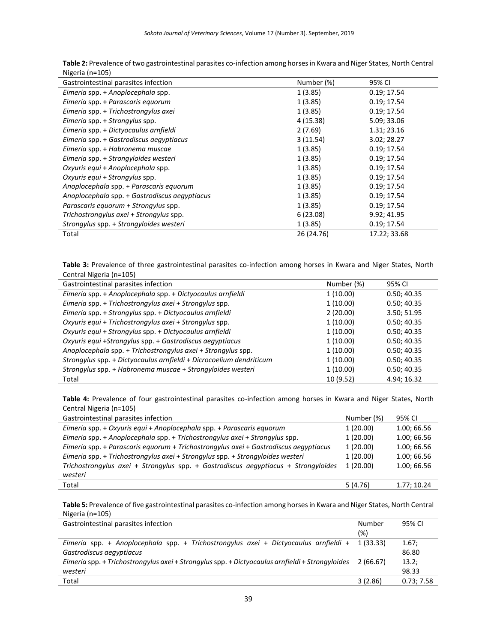| Table 2: Prevalence of two gastrointestinal parasites co-infection among horses in Kwara and Niger States, North Central |
|--------------------------------------------------------------------------------------------------------------------------|
| Nigeria (n=105)                                                                                                          |

| Gastrointestinal parasites infection          | Number (%) | 95% CI       |
|-----------------------------------------------|------------|--------------|
| Eimeria spp. + Anoplocephala spp.             | 1(3.85)    | 0.19; 17.54  |
| Eimeria spp. + Parascaris equorum             | 1(3.85)    | 0.19; 17.54  |
| Eimeria spp. + Trichostrongylus axei          | 1(3.85)    | 0.19; 17.54  |
| Eimeria spp. + Strongylus spp.                | 4(15.38)   | 5.09; 33.06  |
| Eimeria spp. + Dictyocaulus arnfieldi         | 2(7.69)    | 1.31; 23.16  |
| Eimeria spp. + Gastrodiscus aegyptiacus       | 3(11.54)   | 3.02; 28.27  |
| Eimeria spp. + Habronema muscae               | 1(3.85)    | 0.19; 17.54  |
| Eimeria spp. + Strongyloides westeri          | 1(3.85)    | 0.19; 17.54  |
| Oxyuris equi + Anoplocephala spp.             | 1(3.85)    | 0.19; 17.54  |
| Oxyuris equi + Strongylus spp.                | 1(3.85)    | 0.19; 17.54  |
| Anoplocephala spp. + Parascaris equorum       | 1(3.85)    | 0.19; 17.54  |
| Anoplocephala spp. + Gastrodiscus aegyptiacus | 1(3.85)    | 0.19; 17.54  |
| Parascaris equorum + Strongylus spp.          | 1(3.85)    | 0.19; 17.54  |
| Trichostrongylus axei + Strongylus spp.       | 6(23.08)   | 9.92; 41.95  |
| Strongylus spp. + Strongyloides westeri       | 1(3.85)    | 0.19; 17.54  |
| Total                                         | 26 (24.76) | 17.22; 33.68 |

**Table 3:** Prevalence of three gastrointestinal parasites co-infection among horses in Kwara and Niger States, North Central Nigeria (n=105)

| Gastrointestinal parasites infection                                | Number (%) | 95% CI      |
|---------------------------------------------------------------------|------------|-------------|
| Eimeria spp. + Anoplocephala spp. + Dictyocaulus arnfieldi          | 1(10.00)   | 0.50; 40.35 |
| Eimeria spp. + Trichostrongylus axei + Strongylus spp.              | 1(10.00)   | 0.50; 40.35 |
| Eimeria spp. + Strongylus spp. + Dictyocaulus arnfieldi             | 2(20.00)   | 3.50; 51.95 |
| Oxyuris equi + Trichostrongylus axei + Strongylus spp.              | 1(10.00)   | 0.50; 40.35 |
| Oxyuris equi + Strongylus spp. + Dictyocaulus arnfieldi             | 1(10.00)   | 0.50; 40.35 |
| Oxyuris equi +Strongylus spp. + Gastrodiscus aegyptiacus            | 1(10.00)   | 0.50; 40.35 |
| Anoplocephala spp. + Trichostrongylus axei + Strongylus spp.        | 1(10.00)   | 0.50; 40.35 |
| Strongylus spp. + Dictyocaulus arnfieldi + Dicrocoelium dendriticum | 1(10.00)   | 0.50; 40.35 |
| Strongylus spp. + Habronema muscae + Strongyloides westeri          | 1(10.00)   | 0.50; 40.35 |
| Total                                                               | 10 (9.52)  | 4.94; 16.32 |

**Table 4:** Prevalence of four gastrointestinal parasites co-infection among horses in Kwara and Niger States, North Central Nigeria (n=105)

| Gastrointestinal parasites infection                                                 | Number (%) | 95% CI      |
|--------------------------------------------------------------------------------------|------------|-------------|
| Eimeria spp. + Oxyuris equi + Anoplocephala spp. + Parascaris equorum                | 1(20.00)   | 1.00; 66.56 |
| Eimeria spp. + Anoplocephala spp. + Trichostrongylus axei + Strongylus spp.          | 1(20.00)   | 1.00; 66.56 |
| Eimeria spp. + Parascaris equorum + Trichostrongylus axei + Gastrodiscus aegyptiacus | 1(20.00)   | 1.00; 66.56 |
| Eimeria spp. + Trichostrongylus axei + Strongylus spp. + Strongyloides westeri       | 1(20.00)   | 1.00; 66.56 |
| Trichostrongylus axei + Strongylus spp. + Gastrodiscus aegyptiacus + Strongyloides   |            | 1.00; 66.56 |
| westeri                                                                              |            |             |
| Total                                                                                | 5(4.76)    | 1.77; 10.24 |

**Table 5:** Prevalence of five gastrointestinal parasites co-infection among horses in Kwara and Niger States, North Central Nigeria (n=105)

| Gastrointestinal parasites infection                                                            | Number   | 95% CI     |
|-------------------------------------------------------------------------------------------------|----------|------------|
|                                                                                                 | (%)      |            |
| Eimeria spp. + Anoplocephala spp. + Trichostrongylus axei + Dictyocaulus arnfieldi +            | 1(33.33) | 1.67;      |
| Gastrodiscus aegyptiacus                                                                        |          | 86.80      |
| Eimeria spp. + Trichostrongylus axei + Strongylus spp. + Dictyocaulus arnfieldi + Strongyloides |          | 13.2;      |
| westeri                                                                                         |          | 98.33      |
| Total                                                                                           | 3(2.86)  | 0.73; 7.58 |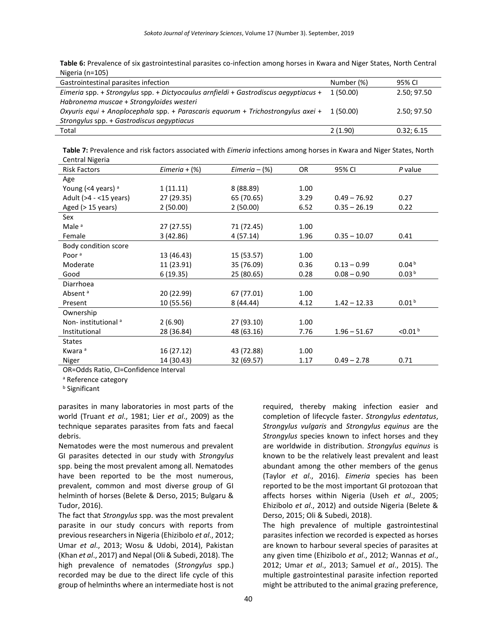**Table 6:** Prevalence of six gastrointestinal parasites co-infection among horses in Kwara and Niger States, North Central Nigeria (n=105)

| Gastrointestinal parasites infection                                                 | Number (%) | 95% CI      |
|--------------------------------------------------------------------------------------|------------|-------------|
| Eimeria spp. + Strongylus spp. + Dictyocaulus arnfieldi + Gastrodiscus aegyptiacus + | 1 (50.00)  | 2.50; 97.50 |
| Habronema muscae + Strongyloides westeri                                             |            |             |
| Oxyuris equi + Anoplocephala spp. + Parascaris equorum + Trichostrongylus axei +     | 1 (50.00)  | 2.50; 97.50 |
| Strongylus spp. + Gastrodiscus aegyptiacus                                           |            |             |
| Total                                                                                | 2(1.90)    | 0.32; 6.15  |

**Table 7:** Prevalence and risk factors associated with *Eimeria* infections among horses in Kwara and Niger States, North Central Nigeria

| <b>Risk Factors</b>            | $Eimeria + (\%)$ | $Eimeria - (\%)$ | OR   | 95% CI         | P value             |
|--------------------------------|------------------|------------------|------|----------------|---------------------|
| Age                            |                  |                  |      |                |                     |
| Young (<4 years) $a$           | 1(11.11)         | 8 (88.89)        | 1.00 |                |                     |
| Adult (>4 - <15 years)         | 27 (29.35)       | 65 (70.65)       | 3.29 | $0.49 - 76.92$ | 0.27                |
| Aged (> 15 years)              | 2(50.00)         | 2(50.00)         | 6.52 | $0.35 - 26.19$ | 0.22                |
| Sex                            |                  |                  |      |                |                     |
| Male <sup>a</sup>              | 27 (27.55)       | 71 (72.45)       | 1.00 |                |                     |
| Female                         | 3(42.86)         | 4(57.14)         | 1.96 | $0.35 - 10.07$ | 0.41                |
| Body condition score           |                  |                  |      |                |                     |
| Poor <sup>a</sup>              | 13 (46.43)       | 15 (53.57)       | 1.00 |                |                     |
| Moderate                       | 11 (23.91)       | 35 (76.09)       | 0.36 | $0.13 - 0.99$  | 0.04 <sup>b</sup>   |
| Good                           | 6(19.35)         | 25 (80.65)       | 0.28 | $0.08 - 0.90$  | 0.03 <sup>b</sup>   |
| Diarrhoea                      |                  |                  |      |                |                     |
| Absent <sup>a</sup>            | 20 (22.99)       | 67 (77.01)       | 1.00 |                |                     |
| Present                        | 10 (55.56)       | 8(44.44)         | 4.12 | $1.42 - 12.33$ | 0.01 <sup>b</sup>   |
| Ownership                      |                  |                  |      |                |                     |
| Non-institutional <sup>a</sup> | 2(6.90)          | 27 (93.10)       | 1.00 |                |                     |
| Institutional                  | 28 (36.84)       | 48 (63.16)       | 7.76 | $1.96 - 51.67$ | < 0.01 <sup>b</sup> |
| <b>States</b>                  |                  |                  |      |                |                     |
| Kwara <sup>a</sup>             | 16 (27.12)       | 43 (72.88)       | 1.00 |                |                     |
| Niger                          | 14 (30.43)       | 32 (69.57)       | 1.17 | $0.49 - 2.78$  | 0.71                |

OR=Odds Ratio, CI=Confidence Interval

a Reference category

<sup>b</sup> Significant

parasites in many laboratories in most parts of the world (Truant *et al*., 1981; Lier *et al*., 2009) as the technique separates parasites from fats and faecal debris.

Nematodes were the most numerous and prevalent GI parasites detected in our study with *Strongylus* spp. being the most prevalent among all. Nematodes have been reported to be the most numerous, prevalent, common and most diverse group of GI helminth of horses (Belete & Derso, 2015; Bulgaru & Tudor, 2016).

The fact that *Strongylus* spp. was the most prevalent parasite in our study concurs with reports from previous researchers in Nigeria (Ehizibolo *et al*., 2012; Umar *et al*., 2013; Wosu & Udobi, 2014), Pakistan (Khan *et al*., 2017) and Nepal (Oli & Subedi, 2018). The high prevalence of nematodes (*Strongylus* spp.) recorded may be due to the direct life cycle of this group of helminths where an intermediate host is not required, thereby making infection easier and completion of lifecycle faster. *Strongylus edentatus*, *Strongylus vulgaris* and *Strongylus equinus* are the *Strongylus* species known to infect horses and they are worldwide in distribution. *Strongylus equinus* is known to be the relatively least prevalent and least abundant among the other members of the genus (Taylor *et al*., 2016). *Eimeria* species has been reported to be the most important GI protozoan that affects horses within Nigeria (Useh *et al*., 2005; Ehizibolo *et al*., 2012) and outside Nigeria (Belete & Derso, 2015; Oli & Subedi, 2018).

The high prevalence of multiple gastrointestinal parasites infection we recorded is expected as horses are known to harbour several species of parasites at any given time (Ehizibolo *et al*., 2012; Wannas *et al*., 2012; Umar *et al*., 2013; Samuel *et al*., 2015). The multiple gastrointestinal parasite infection reported might be attributed to the animal grazing preference,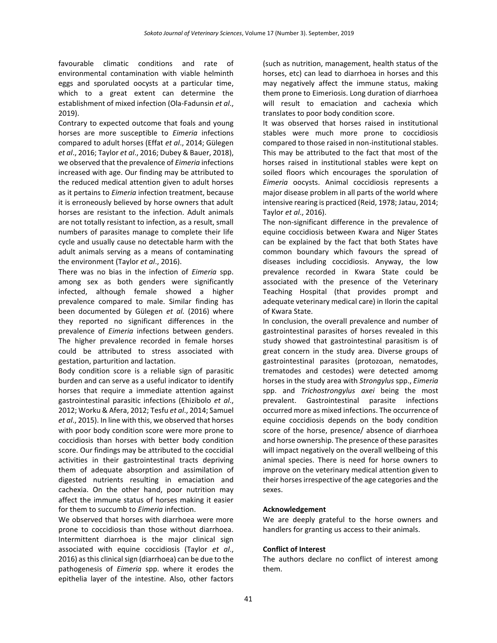favourable climatic conditions and rate of environmental contamination with viable helminth eggs and sporulated oocysts at a particular time, which to a great extent can determine the establishment of mixed infection (Ola-Fadunsin *et al*., 2019).

Contrary to expected outcome that foals and young horses are more susceptible to *Eimeria* infections compared to adult horses (Effat *et al*., 2014; Gülegen *et al*., 2016; Taylor *et al*., 2016; Dubey & Bauer, 2018), we observed that the prevalence of *Eimeria* infections increased with age. Our finding may be attributed to the reduced medical attention given to adult horses as it pertains to *Eimeria* infection treatment, because it is erroneously believed by horse owners that adult horses are resistant to the infection. Adult animals are not totally resistant to infection, as a result, small numbers of parasites manage to complete their life cycle and usually cause no detectable harm with the adult animals serving as a means of contaminating the environment (Taylor *et al*., 2016).

There was no bias in the infection of *Eimeria* spp. among sex as both genders were significantly infected, although female showed a higher prevalence compared to male. Similar finding has been documented by Gülegen *et al.* (2016) where they reported no significant differences in the prevalence of *Eimeria* infections between genders. The higher prevalence recorded in female horses could be attributed to stress associated with gestation, parturition and lactation.

Body condition score is a reliable sign of parasitic burden and can serve as a useful indicator to identify horses that require a immediate attention against gastrointestinal parasitic infections (Ehizibolo *et al*., 2012; Worku & Afera, 2012; Tesfu *et al*., 2014; Samuel *et al*., 2015). In line with this, we observed that horses with poor body condition score were more prone to coccidiosis than horses with better body condition score. Our findings may be attributed to the coccidial activities in their gastrointestinal tracts depriving them of adequate absorption and assimilation of digested nutrients resulting in emaciation and cachexia. On the other hand, poor nutrition may affect the immune status of horses making it easier for them to succumb to *Eimeria* infection.

We observed that horses with diarrhoea were more prone to coccidiosis than those without diarrhoea. Intermittent diarrhoea is the major clinical sign associated with equine coccidiosis (Taylor *et al*., 2016) as this clinical sign (diarrhoea) can be due to the pathogenesis of *Eimeria* spp. where it erodes the epithelia layer of the intestine. Also, other factors (such as nutrition, management, health status of the horses, etc) can lead to diarrhoea in horses and this may negatively affect the immune status, making them prone to Eimeriosis. Long duration of diarrhoea will result to emaciation and cachexia which translates to poor body condition score.

It was observed that horses raised in institutional stables were much more prone to coccidiosis compared to those raised in non-institutional stables. This may be attributed to the fact that most of the horses raised in institutional stables were kept on soiled floors which encourages the sporulation of *Eimeria* oocysts. Animal coccidiosis represents a major disease problem in all parts of the world where intensive rearing is practiced (Reid, 1978; Jatau, 2014; Taylor *et al*., 2016).

The non-significant difference in the prevalence of equine coccidiosis between Kwara and Niger States can be explained by the fact that both States have common boundary which favours the spread of diseases including coccidiosis. Anyway, the low prevalence recorded in Kwara State could be associated with the presence of the Veterinary Teaching Hospital (that provides prompt and adequate veterinary medical care) in Ilorin the capital of Kwara State.

In conclusion, the overall prevalence and number of gastrointestinal parasites of horses revealed in this study showed that gastrointestinal parasitism is of great concern in the study area. Diverse groups of gastrointestinal parasites (protozoan, nematodes, trematodes and cestodes) were detected amomg horses in the study area with *Strongylus* spp., *Eimeria* spp. and *Trichostrongylus axei* being the most prevalent. Gastrointestinal parasite infections occurred more as mixed infections. The occurrence of equine coccidiosis depends on the body condition score of the horse, presence/ absence of diarrhoea and horse ownership. The presence of these parasites will impact negatively on the overall wellbeing of this animal species. There is need for horse owners to improve on the veterinary medical attention given to their horses irrespective of the age categories and the sexes.

## **Acknowledgement**

We are deeply grateful to the horse owners and handlers for granting us access to their animals.

#### **Conflict of Interest**

The authors declare no conflict of interest among them.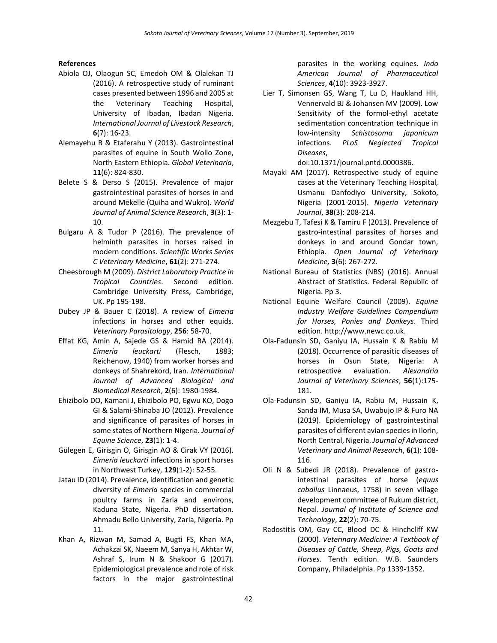#### **References**

- Abiola OJ, Olaogun SC, Emedoh OM & Olalekan TJ (2016). A retrospective study of ruminant cases presented between 1996 and 2005 at the Veterinary Teaching Hospital, University of Ibadan, Ibadan Nigeria. *International Journal of Livestock Research*, **6**(7): 16-23.
- Alemayehu R & Etaferahu Y (2013). Gastrointestinal parasites of equine in South Wollo Zone, North Eastern Ethiopia. *Global Veterinaria*, **11**(6): 824-830.
- Belete S & Derso S (2015). Prevalence of major gastrointestinal parasites of horses in and around Mekelle (Quiha and Wukro). *World Journal of Animal Science Research*, **3**(3): 1- 10.
- Bulgaru A & Tudor P (2016). The prevalence of helminth parasites in horses raised in modern conditions. *Scientific Works Series C Veterinary Medicine*, **61**(2): 271-274.
- Cheesbrough M (2009). *District Laboratory Practice in Tropical Countries*. Second edition. Cambridge University Press, Cambridge, UK. Pp 195-198.
- Dubey JP & Bauer C (2018). A review of *Eimeria*  infections in horses and other equids. *[Veterinary Parasitology](https://www.sciencedirect.com/science/journal/03044017)*, **[256](https://www.sciencedirect.com/science/journal/03044017/256/supp/C)**: 58-70.
- Effat KG, Amin A, Sajede GS & Hamid RA (2014). *Eimeria leuckarti* (Flesch, 1883; Reichenow, 1940) from worker horses and donkeys of Shahrekord, Iran. *International Journal of Advanced Biological and Biomedical Research*, **2**(6): 1980-1984.
- Ehizibolo DO, Kamani J, Ehizibolo PO, Egwu KO, Dogo GI & Salami-Shinaba JO (2012). Prevalence and significance of parasites of horses in some states of Northern Nigeria. *Journal of Equine Science*, **23**(1): 1-4.
- [Gülegen E,](https://www.ncbi.nlm.nih.gov/pubmed/?term=G%C3%BClegen%20E%5BAuthor%5D&cauthor=true&cauthor_uid=26904897) [Girisgin O,](https://www.ncbi.nlm.nih.gov/pubmed/?term=Girisgin%20O%5BAuthor%5D&cauthor=true&cauthor_uid=26904897) [Girisgin AO](https://www.ncbi.nlm.nih.gov/pubmed/?term=Girisgin%20AO%5BAuthor%5D&cauthor=true&cauthor_uid=26904897) & [Cirak VY](https://www.ncbi.nlm.nih.gov/pubmed/?term=Cirak%20VY%5BAuthor%5D&cauthor=true&cauthor_uid=26904897) (2016). *Eimeria leuckarti* infections in sport horses in Northwest Turkey, **129**(1-2): 52-55.
- Jatau ID (2014). Prevalence, identification and genetic diversity of *Eimeria* species in commercial poultry farms in Zaria and environs, Kaduna State, Nigeria. PhD dissertation. Ahmadu Bello University, Zaria, Nigeria. Pp 11.
- Khan A, Rizwan M, Samad A, Bugti FS, Khan MA, Achakzai SK, Naeem M, Sanya H, Akhtar W, Ashraf S, Irum N & Shakoor G (2017). Epidemiological prevalence and role of risk factors in the major gastrointestinal

parasites in the working equines. *Indo American Journal of Pharmaceutical Sciences*, **4**(10): 3923-3927.

Lier T, Simonsen GS, Wang T, Lu D, Haukland HH, Vennervald BJ & Johansen MV (2009). Low Sensitivity of the formol-ethyl acetate sedimentation concentration technique in low-intensity *Schistosoma japonicum* infections. *PLoS Neglected Tropical Diseases*,

doi:10.1371/journal.pntd.0000386.

- Mayaki AM (2017). Retrospective study of equine cases at the Veterinary Teaching Hospital, Usmanu Danfodiyo University, Sokoto, Nigeria (2001-2015). *Nigeria Veterinary Journal*, **38**(3): 208-214.
- Mezgebu T, Tafesi K & Tamiru F (2013). Prevalence of gastro-intestinal parasites of horses and donkeys in and around Gondar town, Ethiopia. *Open Journal of Veterinary Medicine,* **3**(6): 267-272.
- National Bureau of Statistics (NBS) (2016). Annual Abstract of Statistics. Federal Republic of Nigeria. Pp 3.
- National Equine Welfare Council (2009). *Equine Industry Welfare Guidelines Compendium for Horses, Ponies and Donkeys*. Third edition. [http://www.newc.co.uk.](http://www.newc.co.uk/)
- Ola-Fadunsin SD, Ganiyu IA, Hussain K & Rabiu M (2018). Occurrence of parasitic diseases of horses in Osun State, Nigeria: A retrospective evaluation. *Alexandria Journal of Veterinary Sciences*, **56**(1):175- 181.
- Ola-Fadunsin SD, Ganiyu IA, Rabiu M, Hussain K, Sanda IM, Musa SA, Uwabujo IP & Furo NA (2019). Epidemiology of gastrointestinal parasites of different avian species in Ilorin, North Central, Nigeria. *Journal of Advanced Veterinary and Animal Research*, **6**(1): 108- 116.
- Oli N & Subedi JR (2018). Prevalence of gastrointestinal parasites of horse (*equus caballus* Linnaeus, 1758) in seven village development committee of Rukum district, Nepal. *Journal of Institute of Science and Technology*, **22**(2): 70-75.
- Radostitis OM, Gay CC, Blood DC & Hinchcliff KW (2000). *Veterinary Medicine: A Textbook of Diseases of Cattle, Sheep, Pigs, Goats and Horses*. Tenth edition. W.B. Saunders Company, Philadelphia. Pp 1339-1352.